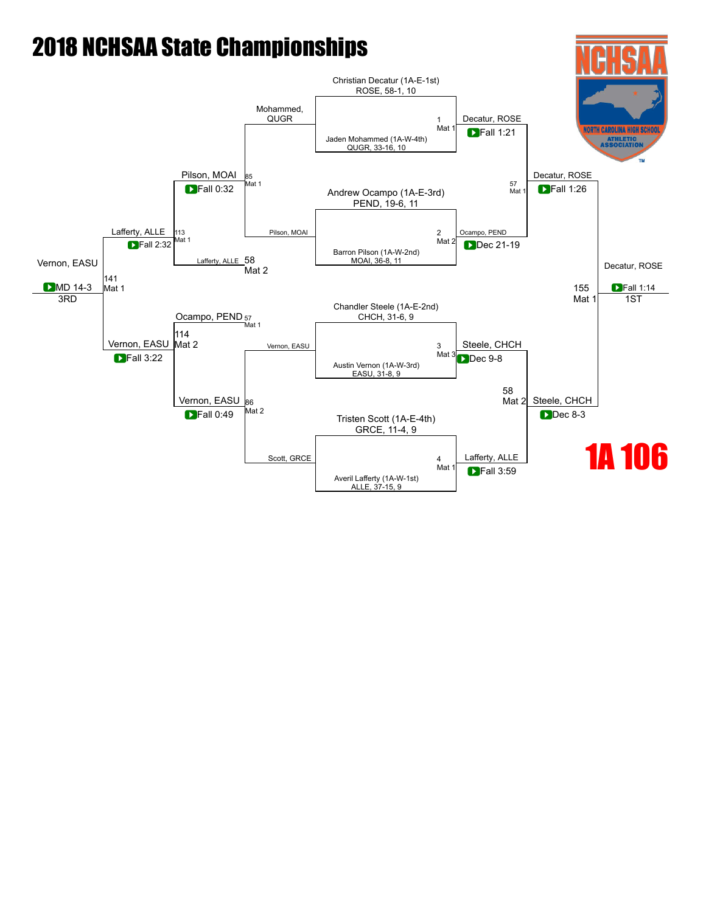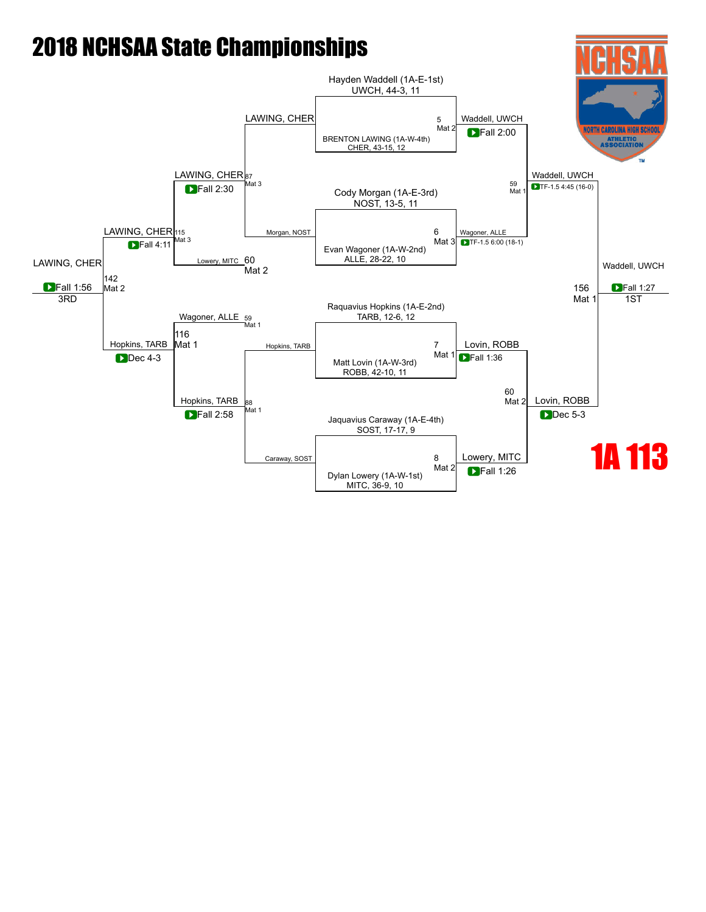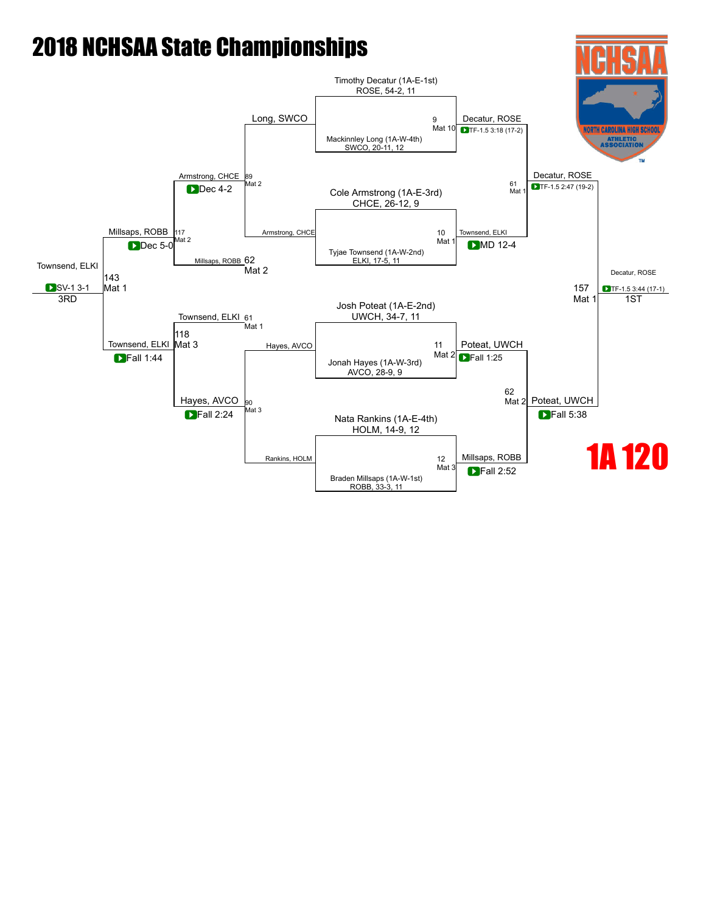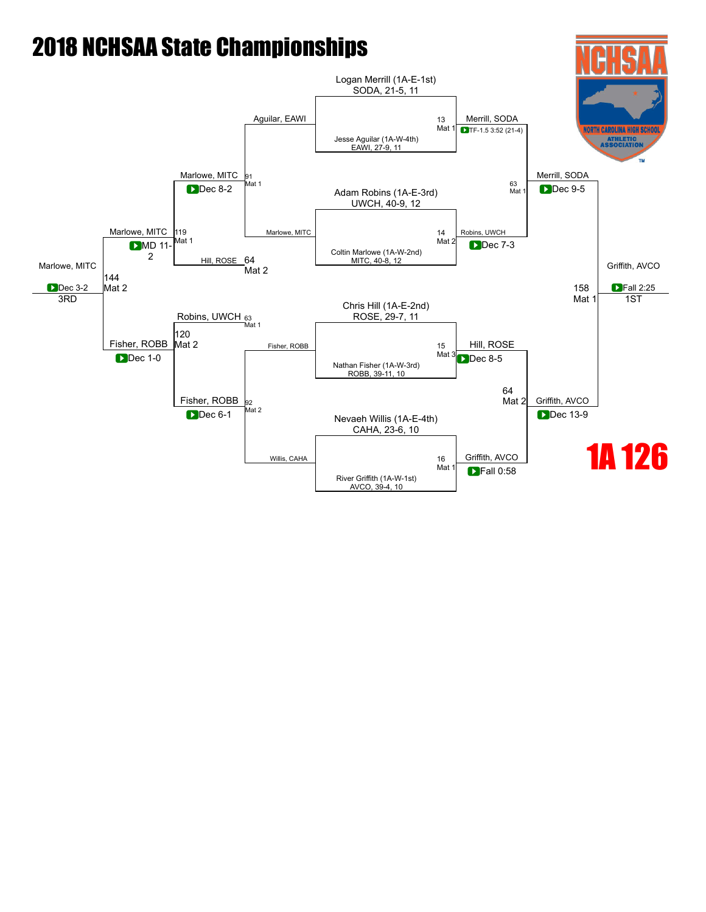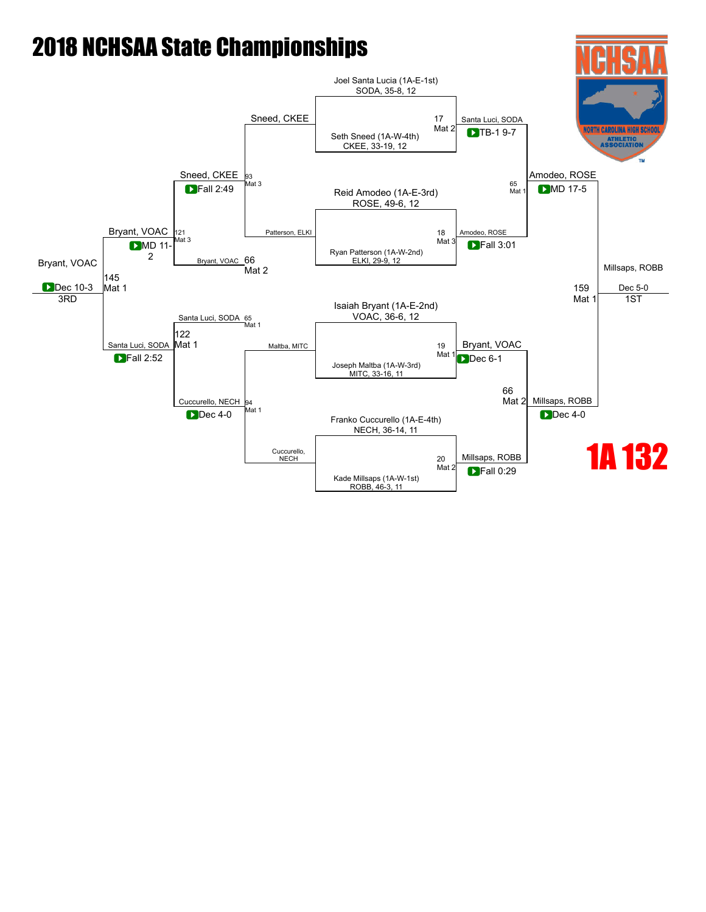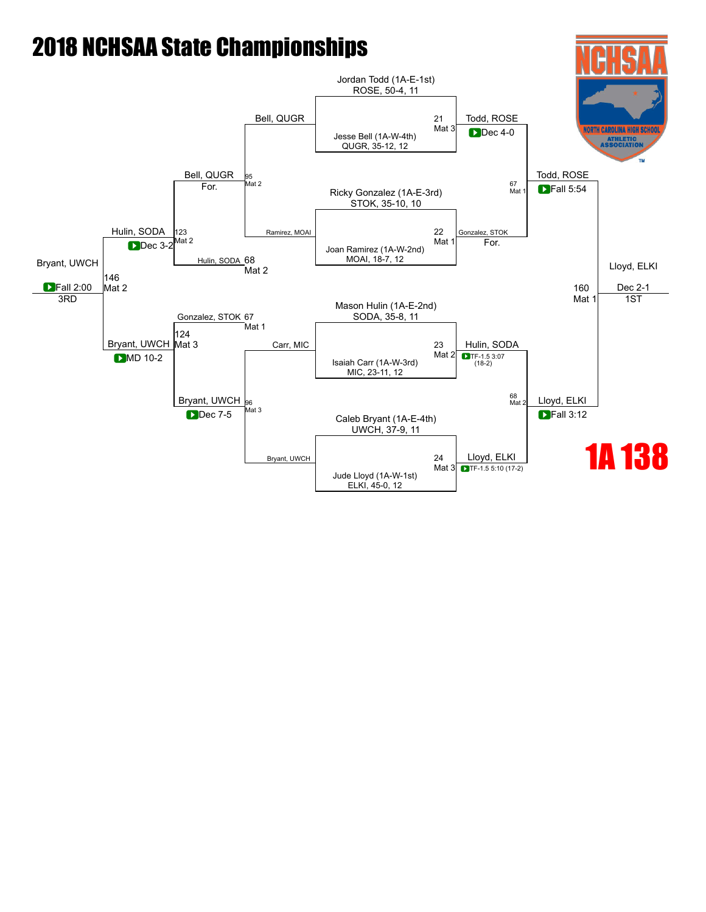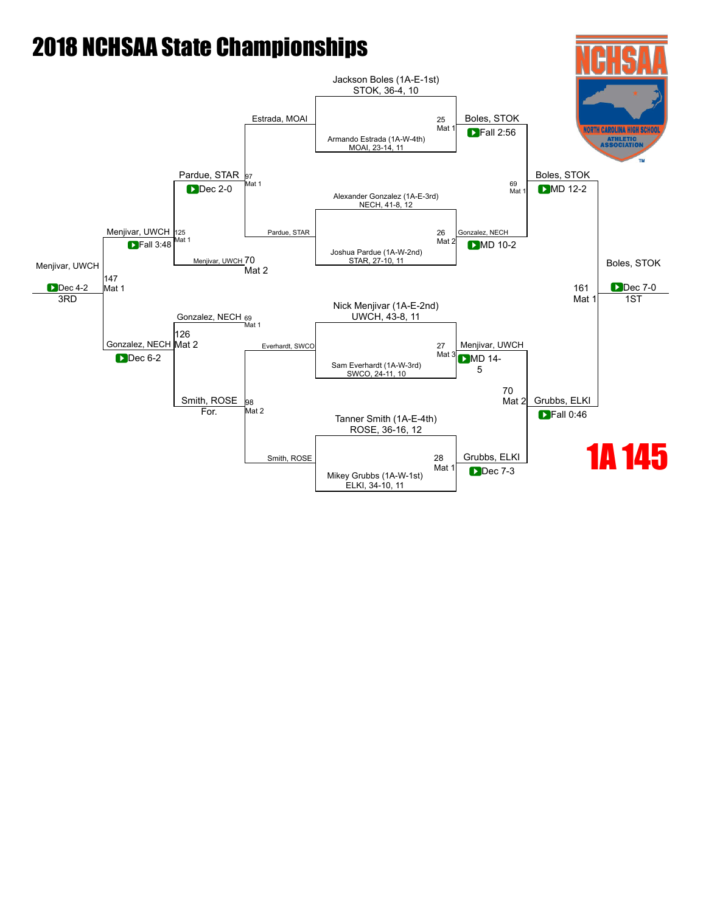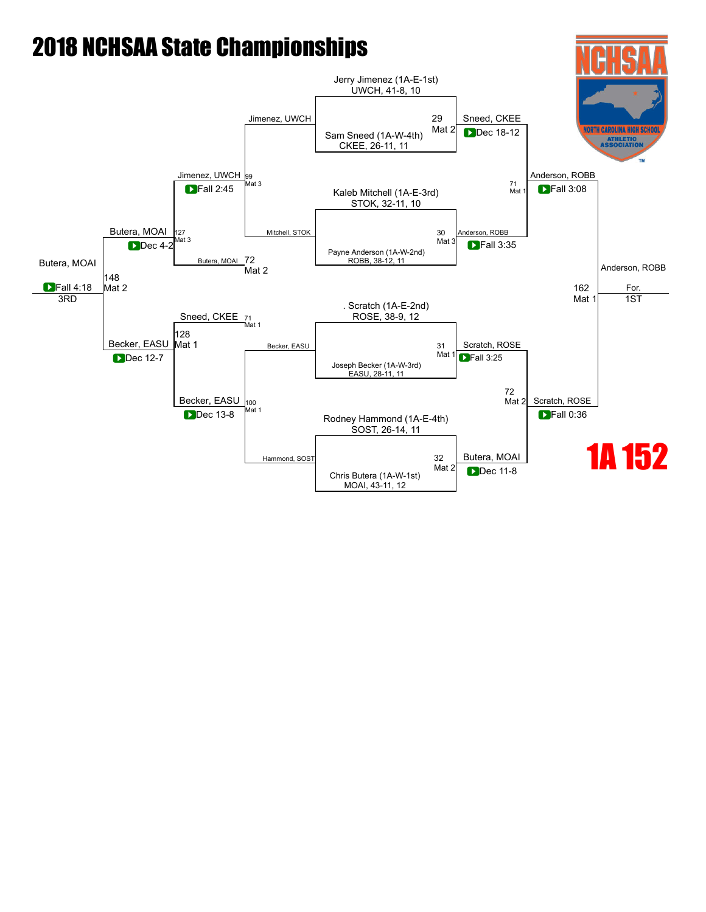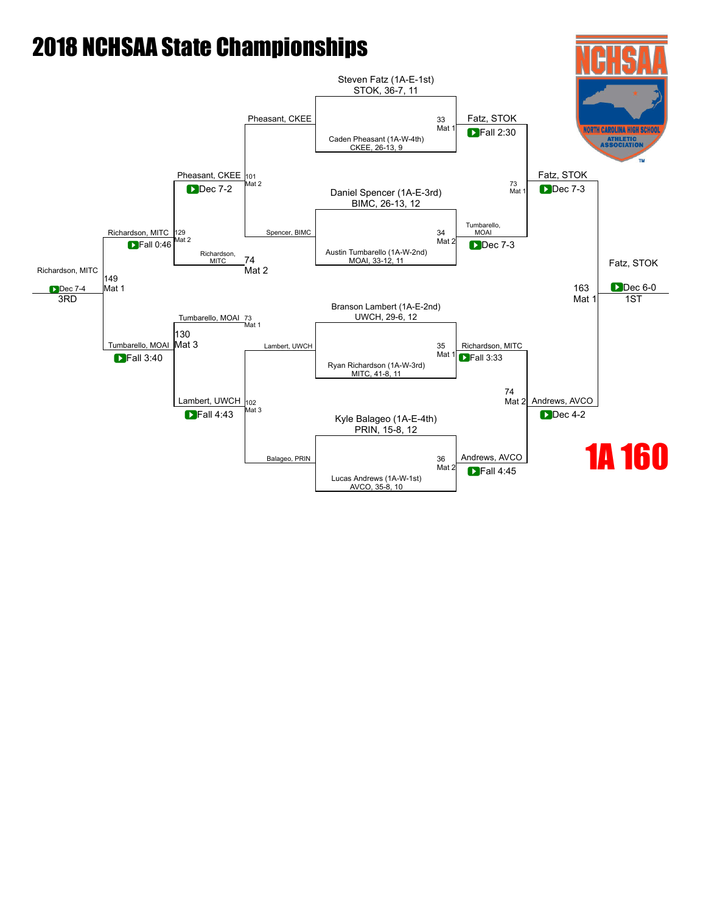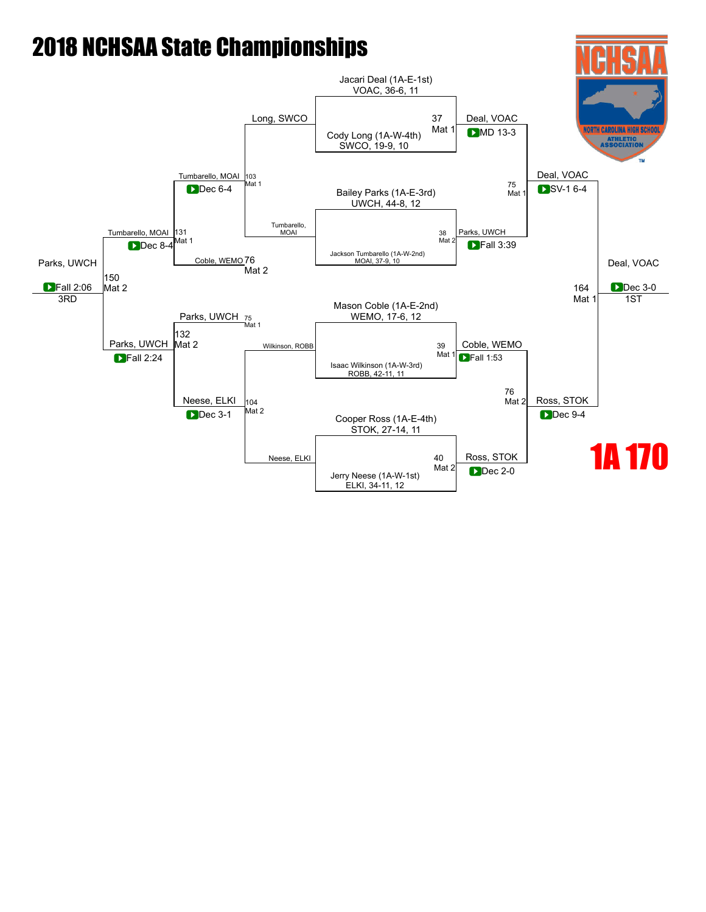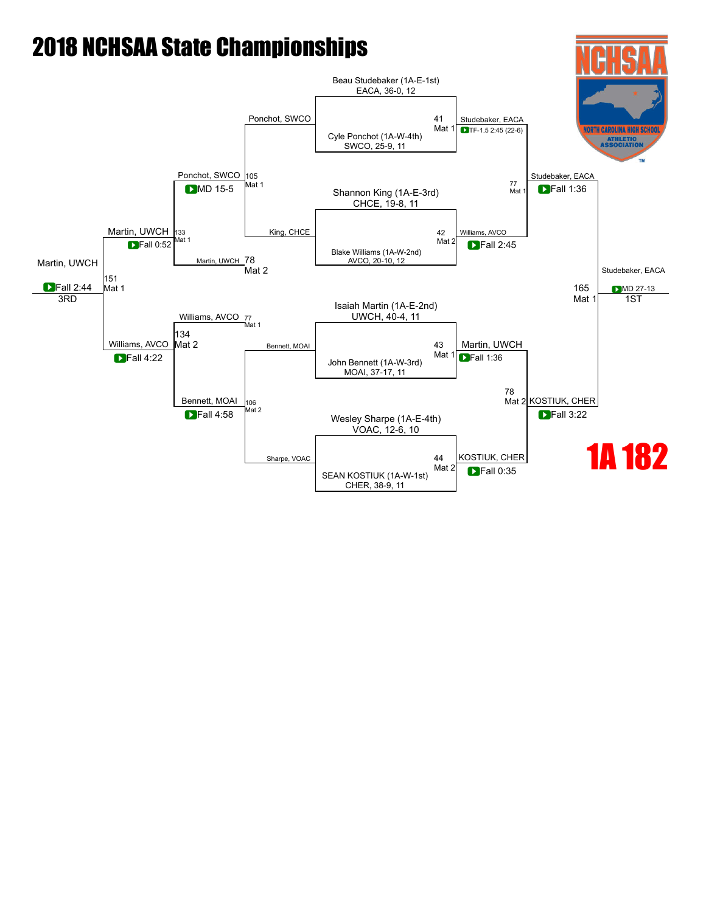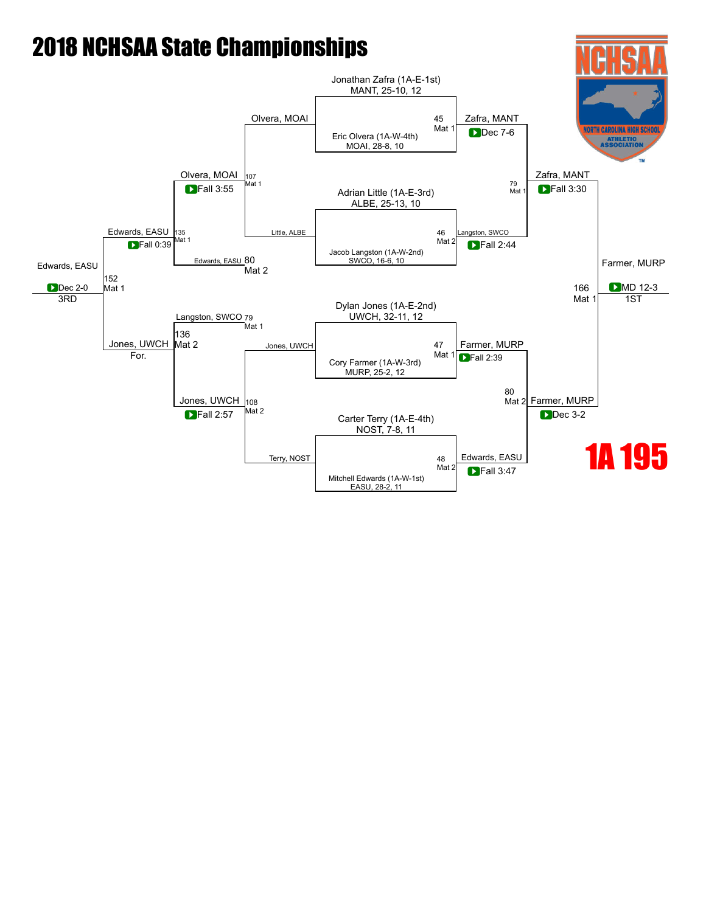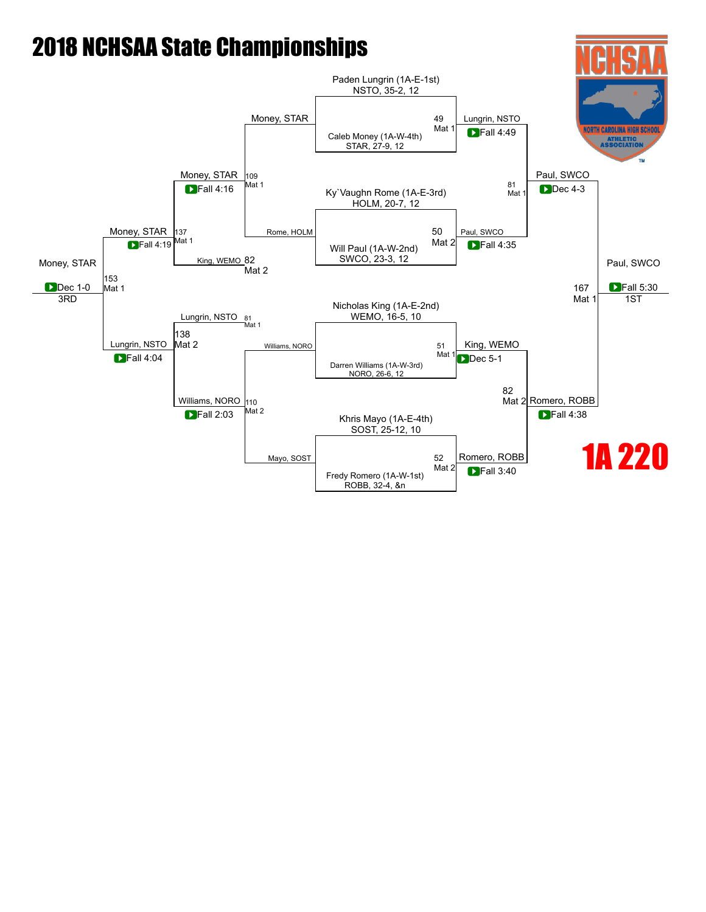